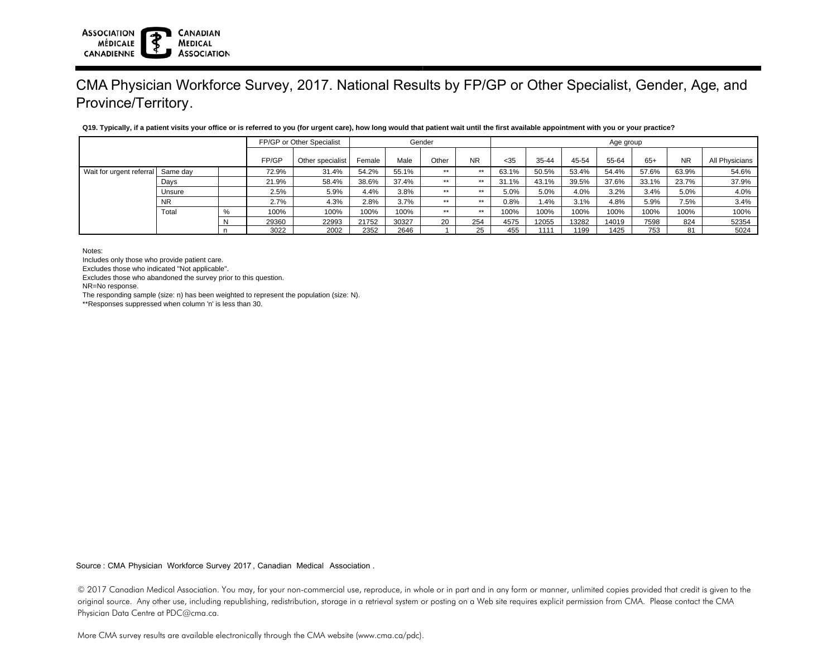# CMA Physician Workforce Survey, 2017. National Results by FP/GP or Other Specialist, Gender, Age, and Province/Territory.

|                          |           | FP/GP or Other Specialist |       | Gender           |        |       |       | Age group |       |       |       |       |       |           |                |
|--------------------------|-----------|---------------------------|-------|------------------|--------|-------|-------|-----------|-------|-------|-------|-------|-------|-----------|----------------|
|                          |           |                           | FP/GP | Other specialist | Female | Male  | Other | <b>NR</b> | $35$  | 35-44 | 45-54 | 55-64 | $65+$ | <b>NR</b> | All Physicians |
| Wait for urgent referral | Same day  |                           | 72.9% | 31.4%            | 54.2%  | 55.1% | $***$ | $***$     | 63.1% | 50.5% | 53.4% | 54.4% | 57.6% | 63.9%     | 54.6%          |
|                          | Days      |                           | 21.9% | 58.4%            | 38.6%  | 37.4% | $***$ | $***$     | 31.1% | 43.1% | 39.5% | 37.6% | 33.1% | 23.7%     | 37.9%          |
|                          | Unsure    |                           | 2.5%  | 5.9%             | 4.4%   | 3.8%  | $***$ | $***$     | 5.0%  | 5.0%  | 4.0%  | 3.2%  | 3.4%  | 5.0%      | 4.0%           |
|                          | <b>NR</b> |                           | 2.7%  | 4.3%             | 2.8%   | 3.7%  | $***$ | $***$     | 0.8%  | 1.4%  | 3.1%  | 4.8%  | 5.9%  | 7.5%      | 3.4%           |
|                          | Total     | %                         | 100%  | 100%             | 100%   | 100%  | $***$ | $***$     | 100%  | 100%  | 100%  | 100%  | 100%  | 100%      | 100%           |
|                          |           | IN.                       | 29360 | 22993            | 21752  | 30327 | 20    | 254       | 4575  | 12055 | 13282 | 14019 | 7598  | 824       | 52354          |
|                          |           |                           | 3022  | 2002             | 2352   | 2646  |       | 25        | 455   | 1111  | 1199  | 1425  | 753   | 81        | 5024           |

### **Q19. Typically, if a patient visits your office or is referred to you (for urgent care), how long would that patient wait until the first available appointment with you or your practice?**

Notes:

Includes only those who provide patient care.

Excludes those who indicated "Not applicable".

Excludes those who abandoned the survey prior to this question.

**CANADIAN** 

**MEDICAL ASSOCIATION** 

NR=No response.

**ASSOCIATION** 

CANADIENNE

**MÉDICALE** 

The responding sample (size: n) has been weighted to represent the population (size: N).

\*\*Responses suppressed when column 'n' is less than 30.

Source : CMA Physician Workforce Survey 2017, Canadian Medical Association .

© 2017 Canadian Medical Association. You may, for your non-commercial use, reproduce, in whole or in part and in any form or manner, unlimited copies provided that credit is given to the original source. Any other use, including republishing, redistribution, storage in a retrieval system or posting on a Web site requires explicit permission from CMA. Please contact the CMA Physician Data Centre at PDC@cma.ca.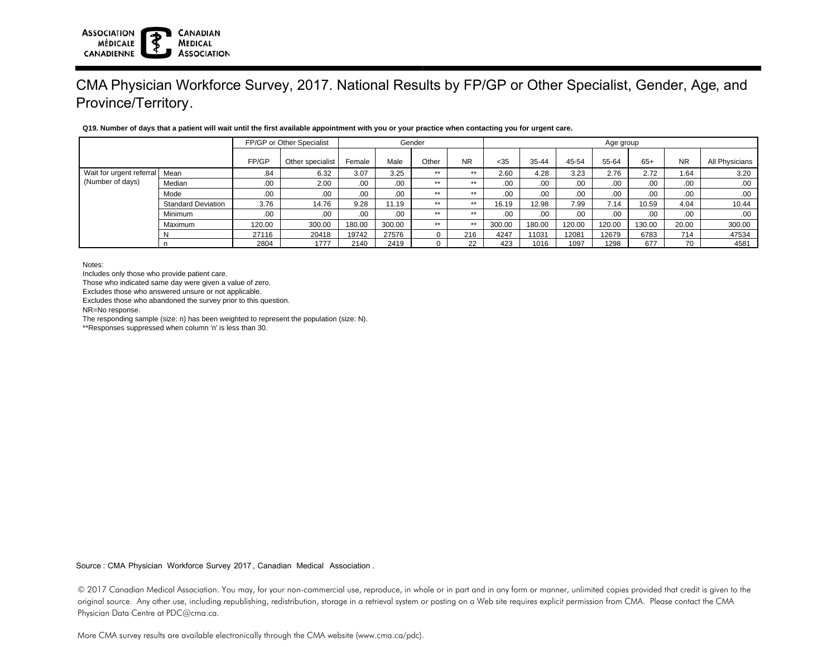#### **ASSOCIATION CANADIAN MÉDICALE MEDICAL ASSOCIATION** CANADIENNE

## CMA Physician Workforce Survey, 2017. National Results by FP/GP or Other Specialist, Gender, Age, and Province/Territory.

## **Q19. Number of days that a patient will wait until the first available appointment with you or your practice when contacting you for urgent care.**

|                          |                           |        | FP/GP or Other Specialist | Gender |        |       |           | Age group |                  |        |        |        |           |                |  |
|--------------------------|---------------------------|--------|---------------------------|--------|--------|-------|-----------|-----------|------------------|--------|--------|--------|-----------|----------------|--|
|                          |                           | FP/GP  | Other specialist          | Female | Male   | Other | <b>NR</b> | $35$      | 35-44            | 45-54  | 55-64  | $65+$  | <b>NR</b> | All Physicians |  |
| Wait for urgent referral | Mean                      | .84    | 6.32                      | 3.07   | 3.25   | **    | **        | 2.60      | 4.28             | 3.23   | 2.76   | 2.72   | .64       | 3.20           |  |
| (Number of days)         | Median                    | .00.   | 2.00                      | .00.   | .00    | **    | **        | .00.      | .00.             | .00.   | .00.   | .00.   | .00.      | .00            |  |
|                          | Mode                      | .00.   | .00                       | .00.   | .00    | **    | **        | .00.      | .00.             | .00.   | .00    | .00.   | .00.      | .00            |  |
|                          | <b>Standard Deviation</b> | 3.76   | 14.76                     | 9.28   | 11.19  | **    | $**$      | 16.19     | 12.98            | 7.99   | 7.14   | 10.59  | 4.04      | 10.44          |  |
|                          | Minimum                   | .00.   | .00.                      | .00.   | .00.   | **    | **        | .00.      | .00 <sub>1</sub> | .00.   | .00.   | .00.   | .00.      | .00            |  |
|                          | Maximum                   | 120.00 | 300.00                    | 180.00 | 300.00 | **    | $**$      | 300.00    | 180.00           | 120.00 | 120.00 | 130.00 | 20.00     | 300.00         |  |
|                          |                           | 27116  | 20418                     | 19742  | 27576  |       | 216       | 4247      | 11031            | 12081  | 12679  | 6783   | 714       | 47534          |  |
|                          |                           | 2804   | 1777                      | 2140   | 2419   |       | 22        | 423       | 1016             | 1097   | 1298   | 677    | 70        | 4581           |  |

Notes:

Includes only those who provide patient care.

Those who indicated same day were given a value of zero.

Excludes those who answered unsure or not applicable.

Excludes those who abandoned the survey prior to this question.

NR=No response.

The responding sample (size: n) has been weighted to represent the population (size: N).

\*\*Responses suppressed when column 'n' is less than 30.

Source : CMA Physician Workforce Survey 2017, Canadian Medical Association .

© 2017 Canadian Medical Association. You may, for your non-commercial use, reproduce, in whole or in part and in any form or manner, unlimited copies provided that credit is given to the original source. Any other use, including republishing, redistribution, storage in a retrieval system or posting on a Web site requires explicit permission from CMA. Please contact the CMA Physician Data Centre at PDC@cma.ca.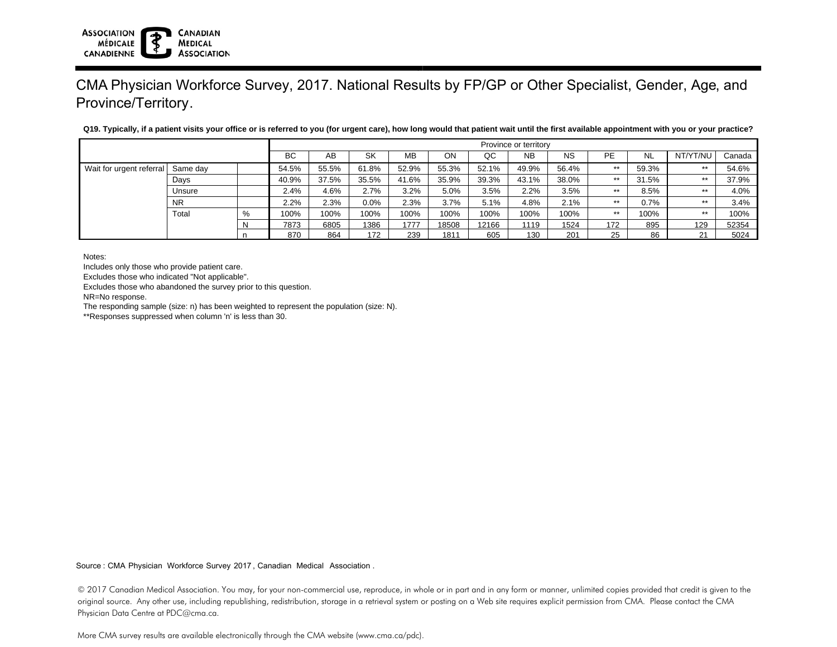# CMA Physician Workforce Survey, 2017. National Results by FP/GP or Other Specialist, Gender, Age, and Province/Territory.

|                          |           |   | Province or territory |       |       |           |       |       |           |           |       |           |          |        |
|--------------------------|-----------|---|-----------------------|-------|-------|-----------|-------|-------|-----------|-----------|-------|-----------|----------|--------|
|                          |           |   | <b>BC</b>             | AB    | SK    | <b>MB</b> | ON    | QC    | <b>NB</b> | <b>NS</b> | PE    | <b>NL</b> | NT/YT/NU | Canada |
| Wait for urgent referral | Same day  |   | 54.5%                 | 55.5% | 61.8% | 52.9%     | 55.3% | 52.1% | 49.9%     | 56.4%     | $***$ | 59.3%     | $**$     | 54.6%  |
|                          | Days      |   | 40.9%                 | 37.5% | 35.5% | 41.6%     | 35.9% | 39.3% | 43.1%     | 38.0%     | $***$ | 31.5%     | $**$     | 37.9%  |
|                          | Unsure    |   | 2.4%                  | 4.6%  | 2.7%  | 3.2%      | 5.0%  | 3.5%  | 2.2%      | 3.5%      | $***$ | 8.5%      | $***$    | 4.0%   |
|                          | <b>NR</b> |   | 2.2%                  | 2.3%  | 0.0%  | 2.3%      | 3.7%  | 5.1%  | 4.8%      | 2.1%      | $***$ | 0.7%      | $***$    | 3.4%   |
|                          | Total     | % | 100%                  | 100%  | 100%  | 100%      | 100%  | 100%  | 100%      | 100%      | $***$ | 100%      | $**$     | 100%   |
|                          |           | N | 7873                  | 6805  | 1386  | 1777      | 18508 | 12166 | 1119      | 1524      | 172   | 895       | 129      | 52354  |
|                          |           |   | 870                   | 864   | 172   | 239       | 1811  | 605   | 130       | 201       | 25    | 86        | 21       | 5024   |

**Q19. Typically, if a patient visits your office or is referred to you (for urgent care), how long would that patient wait until the first available appointment with you or your practice?**

Notes:

**ASSOCIATION** 

CANADIENNE

**MÉDICALE** 

Includes only those who provide patient care.

Excludes those who indicated "Not applicable".

Excludes those who abandoned the survey prior to this question.

**CANADIAN** 

**MEDICAL ASSOCIATION** 

NR=No response.

The responding sample (size: n) has been weighted to represent the population (size: N).

\*\*Responses suppressed when column 'n' is less than 30.

Source : CMA Physician Workforce Survey 2017, Canadian Medical Association .

<sup>© 2017</sup> Canadian Medical Association. You may, for your non-commercial use, reproduce, in whole or in part and in any form or manner, unlimited copies provided that credit is given to the original source. Any other use, including republishing, redistribution, storage in a retrieval system or posting on a Web site requires explicit permission from CMA. Please contact the CMA Physician Data Centre at PDC@cma.ca.